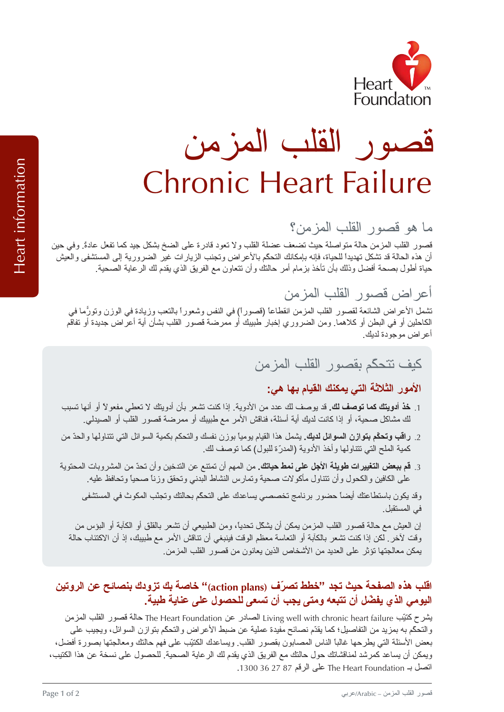

# oundation<br>فو المزمن المزمن المزمن المزمن المزمن المزمن المزمن المزمن المزمن المزمن المزمن المزمن المزمن المزمن<br>في المزمن المزمن المزمن المزمن المزمن المزمن المزمن المزمن المزمن المزمن المزمن المزمن المزمن المزمن المزمن ا Chronic Heart Failure

ما يو .<br>لمزمن: القطو القصو الألف .<br>المزمن: المزمن: المزمن: المزمن: المزمن: المزمن: المزمن: المزمن: المزمن: المزمن: المزمن: المزمن: المزمن: المزمن

قصوص حالة حيث حالة حيث حالة حيث المزمن حالة المركز المركز المركز المركز المركز المركز المركز المركز المركز الم<br>لمزمن المزمن المركز المركز المركز المركز المركز المركز المركز المركز المركز المركز المركز المركز المركز المركز لمصور العلب المرتكل حيات المواضعة حيث المصلح العلب العلب والأصول العارف طلبي المصلح بمنصل حيث تمك العلل طاق والي حير<br>أحدث البرالانتشار على مستقبل الأعراف المتألف التحكيم الأعراف المستشفى المستشفى المستشفى المستشفى المستشف ان هذه العثاقة بنا تعليم الصحية بالمستقبل المعلم بإلا مع حراس التي توجيب الرياس حين المصر وريبة إلى المعلمة.<br>لما جانبا بن المعلم بناء المعلوم بن المعلم بن المعلم بن المعلم بن المعلم بن المعلم المعلم بن المعلم المعلم بن

## Fعر 8 قصو لقلب لمزمن

ت الشائعة لمرض المزمن المزمن المزمن المزمن المزمن المزمن المزمن المزمن المزمن المزمن المزمن والمزمن المزمن.<br>لمزمن التعليم التعليم المزمن المزمن المزمن المزمن المزمن المزمن المزمن المزمن المزمن المزمن المزمن المزمن المز للكاحل الأمر الكل الملكات المطلول الملك المربض الملكات المصلول الي الملكات والسابق الوري والسابق الوري والوريد<br>الكامل بأسفاء أن الملك بشأ الكلام بالمستقبل بشأل الملكات بشريد Fit و بالملك بشأت أن المستقبل بشأ التائية العالمين او سي البصل او تحادها ولمل الصرور ي إعبار تصييب او المرتضا الصور العلب بسان اي- احر الص جديدا او تعال<br>أحداث معدد الديك

## ليف تتحكم القصو المزمن.<br>المزمن المزمن المزمن القصو القصو القصو المزمن.

### **لأموC لثلاثة لتي يمكنك لقيا> بها هي:**

- 1. **خذ أدويتك كما توصف لك.** قد يوصف لك عدد من الأدوية. إذا كنت تشعر بأن أدويتك لا تعطي مفعولاً أو أنها تسبب لك مشاكل صحيف المساكل صحية، F 2M المستخدمات المستخدمات المستخدمات المستخدمات المستخدمات المستخدمات المستخدمات<br>الأمر مع طبيبك F ممرضة قصو الأمر مع الأمر مع الأمر مع الأمر مع الأمر مع الأمر مع الأمر مع الأمر مع الأمر من ال
- <sub>2.</sub> را**قب وتحكّم بتوازن السوائل لديك**. يشمل هذا القيام يومياً بوزن نفسك والتحكم بكمية السوائل التي تتناولها والحدّ من ر. ب وحسم بنورن مسوس سية . يسعى مدرسيم يرديب بررن مست<br>كمية الملح التي نتناولها وأخذ الأدوية (المدرّة للبول) كما نوصف لك.
- <sub>3.</sub> **قم ببعض التغييرات طويلة الأجل على نمط حياتك.** من المهم أن تمتنع عن التدخين و أن تحدّ من المشروبات المحتوية م ببعض سعيرت كويت . وعلى على حسب على سعيم بن حسن صحيح من المسين وبن حسن سعسروبت.<br>على الكافين والكحول و أن نتتاول مأكولات صحية وتمارس النشاط البدني وتحقق وزنا صحياً وتحافظ عليه.

قد يكون التحالي التحكّم بن التحكّم بحالة حضو برنامج تخصصي يساعد على التحكّم بحضور بحضور بحضور بحضور بحضور بحضور<br>لمكون المجالات تجنّب التحكّم بحضور بحضور بحضور بحضور بحضور بحضور بحضور بحضور بحضور بحضور بحضور بحضور بحضور بح في لمستقبل.

ن العيش مع حالة قصور القلب المزمن يمكن أن يشكّل تحدياً، ومن الطبيعي أن تشعر بالقلق أو الكآبة أو البؤس من<br>قتم لقن علم الفائل تنتمت الكآبة أعالية المقالية في المقال تتميز بن أو تتلقط المؤسس المعامل الفائية الامتثار وا ر سبوس من<br>الاكتئاب حالة رت - 2 سر ـ سن به سب حسر بسب او اسعامه معنى الوت عيبي ان حسن الامر.<br>بمكن معالجتها تؤثر على العديد من الأشخاص الذين يعانون من قصور القلب المزمن ـ

#### **قلب هذ! لصفحة حيث تجد "خطط تصرّ (plans action "(خاصة بك تز بنصائح عن لرتين**  اليوم*ي* الذي يفضّل أن تتبعه ومتى يجب أن تسعى للحصول على عناية طبية.

ي<br>يشر ح كتيّب Living well with chronic heart failure الصادر عن The Heart Foundation حالة قصور القلب المزمن لتحكّم به بمزيد به بمزيد به بمزيد من الاستعمال عن الاستعمال المقدم المقدم عملية عملية عملية عن ضبط المرتبط الم<br>بالأعراض بين ضبط الأعراض الأعراض المقدم عملية عملية عملية عملية عملية عملية على المقدم عملية على المقدم على ال بعض المصابوت المصابوت المصابوت المصابوت المصابوت المصابوت المصابوت المصابوت المصابوت المصابوت المصابوت المصابو<br>لمصابوت First and Hotel and Hotel and Hotel and Hotel and First and First and First and First and First and Fo يمكن المساعد كمرشد لمناقشات المستورين يستعزى المستورد المستورد للمناقشات المستورد المستورد المستورد المستورد ا<br>لمناقشات المرضى المناقشات المناقشات المناقشات المناقشات المناقشة عن هذا المناقشات المناقشات المناقشات المناقشا ريس أن يتدت حاصر بن حسب على الرقم 87 27 36 1300.<br>اتصل بـ The Heart Foundation على الرقم 87 27 36 1300.